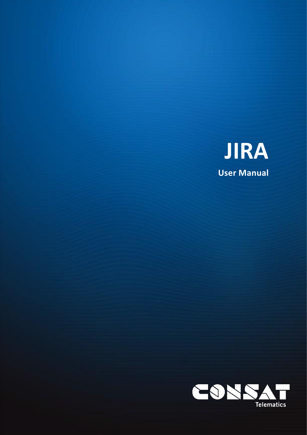

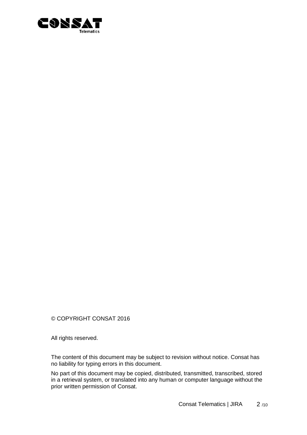

© COPYRIGHT CONSAT 2016

All rights reserved.

The content of this document may be subject to revision without notice. Consat has no liability for typing errors in this document.

No part of this document may be copied, distributed, transmitted, transcribed, stored in a retrieval system, or translated into any human or computer language without the prior written permission of Consat.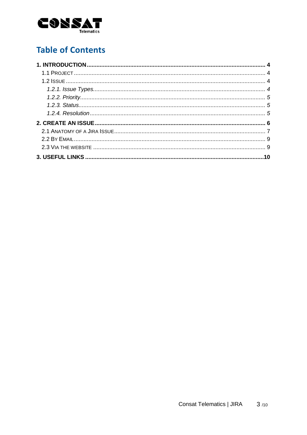

# **Table of Contents**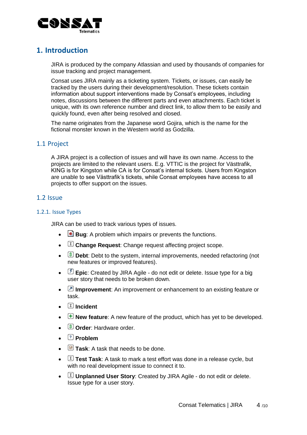

## <span id="page-3-0"></span>**1. Introduction**

JIRA is produced by the company Atlassian and used by thousands of companies for issue tracking and project management.

Consat uses JIRA mainly as a ticketing system. Tickets, or issues, can easily be tracked by the users during their development/resolution. These tickets contain information about support interventions made by Consat's employees, including notes, discussions between the different parts and even attachments. Each ticket is unique, with its own reference number and direct link, to allow them to be easily and quickly found, even after being resolved and closed.

The name originates from the Japanese word Gojira, which is the name for the fictional monster known in the Western world as Godzilla.

## <span id="page-3-1"></span>1.1 Project

A JIRA project is a collection of issues and will have its own name. Access to the projects are limited to the relevant users. E.g. VTTIC is the project for Västtrafik, KING is for Kingston while CA is for Consat's internal tickets. Users from Kingston are unable to see Västtrafik's tickets, while Consat employees have access to all projects to offer support on the issues.

## <span id="page-3-2"></span>1.2 Issue

### <span id="page-3-3"></span>1.2.1. Issue Types

JIRA can be used to track various types of issues.

- **Bug**: A problem which impairs or prevents the functions.
- **Change Request**: Change request affecting project scope.
- **B** Debt: Debt to the system, internal improvements, needed refactoring (not new features or improved features).
- **Epic**: Created by JIRA Agile do not edit or delete. Issue type for a big user story that needs to be broken down.
- **Improvement**: An improvement or enhancement to an existing feature or task.
- **Incident**
- **New feature**: A new feature of the product, which has yet to be developed.
- **§ Order:** Hardware order.
- **Problem**
- **E** Task: A task that needs to be done.
- $\Box$  **Test Task**: A task to mark a test effort was done in a release cycle, but with no real development issue to connect it to.
- **I** Unplanned User Story: Created by JIRA Agile do not edit or delete. Issue type for a user story.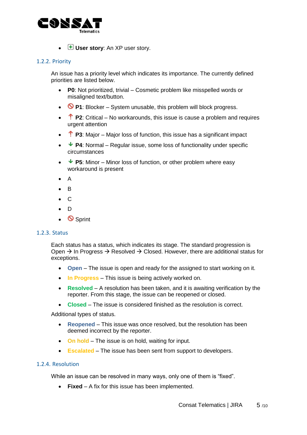

• *H* User story: An XP user story.

#### <span id="page-4-0"></span>1.2.2. Priority

An issue has a priority level which indicates its importance. The currently defined priorities are listed below.

- **P0**: Not prioritized, trivial Cosmetic problem like misspelled words or misaligned text/button.
- **P1**: Blocker System unusable, this problem will block progress.
- **P2**: Critical No workarounds, this issue is cause a problem and requires urgent attention
- **P3**: Major Major loss of function, this issue has a significant impact
- **P4**: Normal Regular issue, some loss of functionality under specific circumstances
- **P5**: Minor Minor loss of function, or other problem where easy workaround is present
- A
- B
- C
- D
- **Sprint**

#### <span id="page-4-1"></span>1.2.3. Status

Each status has a status, which indicates its stage. The standard progression is Open  $\rightarrow$  In Progress  $\rightarrow$  Resolved  $\rightarrow$  Closed. However, there are additional status for exceptions.

- **Open** The issue is open and ready for the assigned to start working on it.
- **In Progress** This issue is being actively worked on.
- **Resolved** A resolution has been taken, and it is awaiting verification by the reporter. From this stage, the issue can be reopened or closed.
- **Closed**  The issue is considered finished as the resolution is correct.

Additional types of status.

- **Reopened** This issue was once resolved, but the resolution has been deemed incorrect by the reporter.
- **On hold** The issue is on hold, waiting for input.
- **Escalated** The issue has been sent from support to developers.

#### <span id="page-4-2"></span>1.2.4. Resolution

While an issue can be resolved in many ways, only one of them is "fixed".

• **Fixed** – A fix for this issue has been implemented.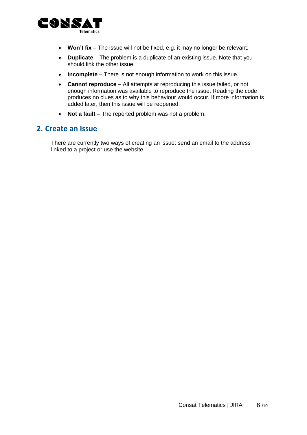

- **Won't fix** The issue will not be fixed, e.g. it may no longer be relevant.
- **Duplicate** The problem is a duplicate of an existing issue. Note that you should link the other issue.
- **Incomplete** There is not enough information to work on this issue.
- **Cannot reproduce** All attempts at reproducing this issue failed, or not enough information was available to reproduce the issue. Reading the code produces no clues as to why this behaviour would occur. If more information is added later, then this issue will be reopened.
- **Not a fault** The reported problem was not a problem.

## <span id="page-5-0"></span>**2. Create an Issue**

There are currently two ways of creating an issue: send an email to the address linked to a project or use the website.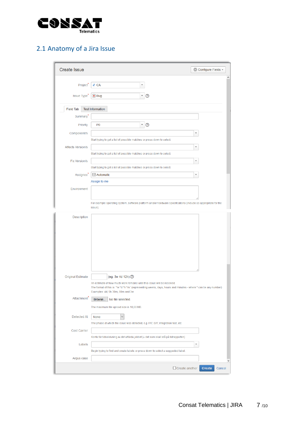

## <span id="page-6-0"></span>2.1 Anatomy of a Jira Issue

| <b>Create Issue</b>                 |                                                                                                                                                                                                                                                     | ∜ Configure Fields ▼     |
|-------------------------------------|-----------------------------------------------------------------------------------------------------------------------------------------------------------------------------------------------------------------------------------------------------|--------------------------|
| Project <sup>*</sup><br>Issue Type* | 4 CA<br>$\bigcirc$ Bug<br>$\overline{\phantom{a}}$<br>➁                                                                                                                                                                                             | ٨                        |
|                                     |                                                                                                                                                                                                                                                     |                          |
| <b>Field Tab</b>                    | <b>Test Information</b>                                                                                                                                                                                                                             |                          |
| Summary <sup>*</sup>                |                                                                                                                                                                                                                                                     |                          |
| Priority                            | $\circledcirc$<br>$\overline{\phantom{a}}$<br>P <sub>0</sub>                                                                                                                                                                                        |                          |
| Component/s                         | Start typing to get a list of possible matches or press down to select.                                                                                                                                                                             | $\overline{\phantom{a}}$ |
| <b>Affects Version/s</b>            |                                                                                                                                                                                                                                                     |                          |
|                                     | Start typing to get a list of possible matches or press down to select.                                                                                                                                                                             |                          |
| <b>Fix Version/s</b>                |                                                                                                                                                                                                                                                     | $\overline{\phantom{a}}$ |
|                                     | Start typing to get a list of possible matches or press down to select.                                                                                                                                                                             |                          |
| Assignee <sup>*</sup>               | <b>Automatic</b>                                                                                                                                                                                                                                    |                          |
|                                     | Assign to me                                                                                                                                                                                                                                        |                          |
| Environment                         |                                                                                                                                                                                                                                                     |                          |
|                                     | For example operating system, software platform and/or hardware specifications (include as appropriate for the<br>issue).                                                                                                                           |                          |
| Description                         |                                                                                                                                                                                                                                                     |                          |
| <b>Original Estimate</b>            | (eg. 3w 4d 12h) ?<br>An estimate of how much work remains until this issue will be resolved.<br>The format of this is '*w *d *h *m ' (representing weeks, days, hours and minutes - where * can be any number)<br>Examples: 4d, 5h 30m, 60m and 3w. |                          |
| Attachment <sup>7</sup>             | Browse<br>No file selected.                                                                                                                                                                                                                         |                          |
|                                     | The maximum file upload size is 10,00 MB.                                                                                                                                                                                                           |                          |
| <b>Detected At</b>                  | None                                                                                                                                                                                                                                                |                          |
|                                     | The phase at which the issue was detected, e.g. FAT, SAT, Integration test, etc                                                                                                                                                                     |                          |
| <b>Cost Carrier</b>                 | Konto för tidsskrivning av det utförda jobbet (= det som skall stå på tidrapporten)                                                                                                                                                                 |                          |
| Labels                              |                                                                                                                                                                                                                                                     | $\overline{\phantom{a}}$ |
|                                     | Begin typing to find and create labels or press down to select a suggested label.                                                                                                                                                                   |                          |
| Argus case                          |                                                                                                                                                                                                                                                     |                          |
|                                     | $\Box$ Create another                                                                                                                                                                                                                               | Create<br>Cancel         |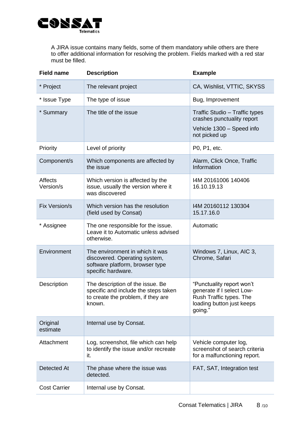

A JIRA issue contains many fields, some of them mandatory while others are there to offer additional information for resolving the problem. Fields marked with a red star must be filled.

| <b>Field name</b>           | <b>Description</b>                                                                                                        | <b>Example</b>                                                                                                            |  |  |  |
|-----------------------------|---------------------------------------------------------------------------------------------------------------------------|---------------------------------------------------------------------------------------------------------------------------|--|--|--|
| * Project                   | The relevant project                                                                                                      | CA, Wishlist, VTTIC, SKYSS                                                                                                |  |  |  |
| * Issue Type                | The type of issue                                                                                                         | Bug, Improvement                                                                                                          |  |  |  |
| * Summary                   | The title of the issue                                                                                                    | Traffic Studio - Traffic types<br>crashes punctuality report<br>Vehicle 1300 - Speed info<br>not picked up                |  |  |  |
| Priority                    | Level of priority                                                                                                         | P0, P1, etc.                                                                                                              |  |  |  |
| Component/s                 | Which components are affected by<br>Alarm, Click Once, Traffic<br>Information<br>the issue                                |                                                                                                                           |  |  |  |
| <b>Affects</b><br>Version/s | Which version is affected by the<br>issue, usually the version where it<br>was discovered                                 | I4M 20161006 140406<br>16.10.19.13                                                                                        |  |  |  |
| Fix Version/s               | Which version has the resolution<br>(field used by Consat)                                                                | I4M 20160112 130304<br>15.17.16.0                                                                                         |  |  |  |
| * Assignee                  | The one responsible for the issue.<br>Leave it to Automatic unless advised<br>otherwise.                                  | Automatic                                                                                                                 |  |  |  |
| Environment                 | The environment in which it was<br>discovered. Operating system,<br>software platform, browser type<br>specific hardware. | Windows 7, Linux, AIC 3,<br>Chrome, Safari                                                                                |  |  |  |
| Description                 | The description of the issue. Be<br>specific and include the steps taken<br>to create the problem, if they are<br>known.  | "Punctuality report won't<br>generate if I select Low-<br>Rush Traffic types. The<br>loading button just keeps<br>going." |  |  |  |
| Original<br>estimate        | Internal use by Consat.                                                                                                   |                                                                                                                           |  |  |  |
| Attachment                  | Log, screenshot, file which can help<br>to identify the issue and/or recreate<br>it.                                      | Vehicle computer log,<br>screenshot of search criteria<br>for a malfunctioning report.                                    |  |  |  |
| Detected At                 | The phase where the issue was<br>detected.                                                                                | FAT, SAT, Integration test                                                                                                |  |  |  |
| <b>Cost Carrier</b>         | Internal use by Consat.                                                                                                   |                                                                                                                           |  |  |  |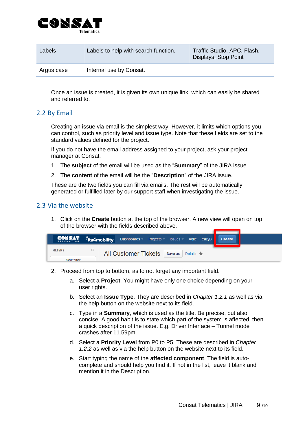

| Labels     | Labels to help with search function. | Traffic Studio, APC, Flash,<br>Displays, Stop Point |
|------------|--------------------------------------|-----------------------------------------------------|
| Argus case | Internal use by Consat.              |                                                     |

Once an issue is created, it is given its own unique link, which can easily be shared and referred to.

## <span id="page-8-0"></span>2.2 By Email

Creating an issue via email is the simplest way. However, it limits which options you can control, such as priority level and issue type. Note that these fields are set to the standard values defined for the project.

If you do not have the email address assigned to your project, ask your project manager at Consat.

- 1. The **subject** of the email will be used as the "**Summary**" of the JIRA issue.
- 2. The **content** of the email will be the "**Description**" of the JIRA issue.

These are the two fields you can fill via emails. The rest will be automatically generated or fulfilled later by our support staff when investigating the issue.

### <span id="page-8-1"></span>2.3 Via the website

1. Click on the **Create** button at the top of the browser. A new view will open on top of the browser with the fields described above.

| CONSAT Gis4mobility Dashboards Projects Issues Agile eazyBI |   |                                                  |  |  | Create |  |
|-------------------------------------------------------------|---|--------------------------------------------------|--|--|--------|--|
| <b>FILTERS</b>                                              | « | All Customer Tickets   Save as   Details $\star$ |  |  |        |  |
| New filter                                                  |   |                                                  |  |  |        |  |

- 2. Proceed from top to bottom, as to not forget any important field.
	- a. Select a **Project**. You might have only one choice depending on your user rights.
	- b. Select an **Issue Type**. They are described in *Chapter 1.2.1* as well as via the help button on the website next to its field.
	- c. Type in a **Summary**, which is used as the title. Be precise, but also concise. A good habit is to state which part of the system is affected, then a quick description of the issue. E.g. Driver Interface – Tunnel mode crashes after 11.59pm.
	- d. Select a **Priority Level** from P0 to P5. These are described in *Chapter 1.2.2* as well as via the help button on the website next to its field.
	- e. Start typing the name of the **affected component**. The field is autocomplete and should help you find it. If not in the list, leave it blank and mention it in the Description.